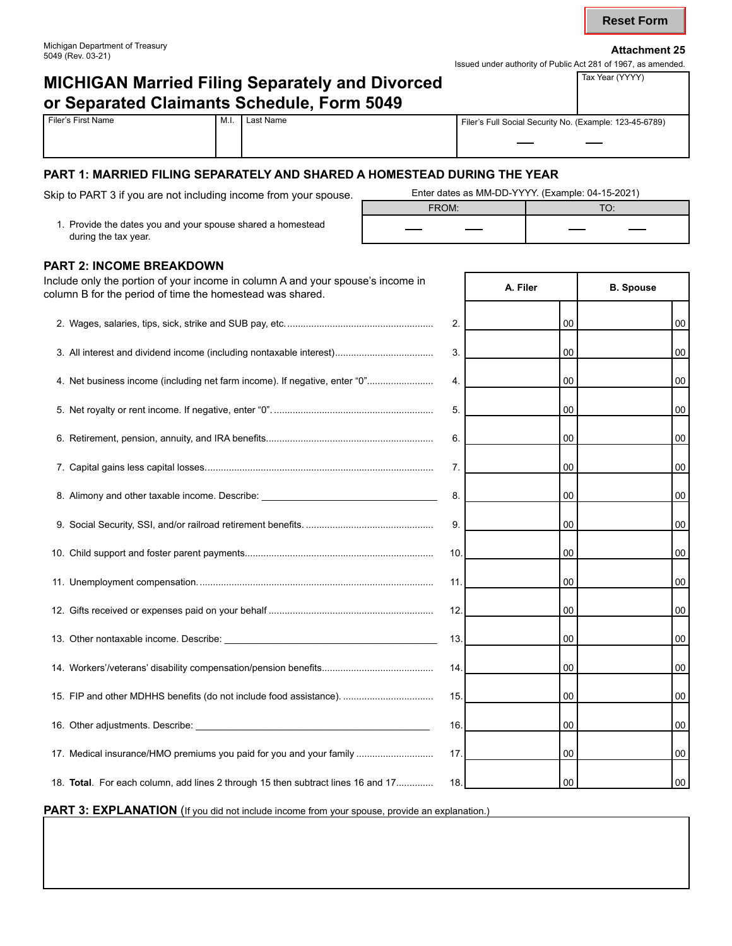| Michigan Department of Treasury<br>5049 (Rev. 03-21) | <b>Attachment 25</b>                                          |
|------------------------------------------------------|---------------------------------------------------------------|
|                                                      | Issued under authority of Public Act 281 of 1967, as amended. |

# **MICHIGAN Married Filing Separately and Divorced <br>All Tax Year (YYYY) or Separated Claimants Schedule, Form 5049**

| s Full Social Security No. (Example: 123-45-6789). |
|----------------------------------------------------|

T

| Filer's First Name | ` M.I. | ՝ Last Name | Filer's Full Social Security No. (Example: 123-45-6789) |
|--------------------|--------|-------------|---------------------------------------------------------|
|                    |        |             |                                                         |

#### **PART 1: MARRIED FILING SEPARATELY AND SHARED A HOMESTEAD DURING THE YEAR**

Skip to PART 3 if you are not including income from your spouse. \_\_\_\_\_\_\_\_\_\_\_Enter dates as MM-DD-YYYY. (Example: 04-15-2021)

1. Provide the dates you and your spouse shared a homestead during the tax year.

| Enter dates as MM-DD-YYYY. (Example: 04-15-2021) |  |  |  |  |
|--------------------------------------------------|--|--|--|--|
| FROM <sup>-</sup>                                |  |  |  |  |
|                                                  |  |  |  |  |

Г

#### **PART 2: INCOME BREAKDOWN**

| 00<br>2.<br>00<br>3. All interest and dividend income (including nontaxable interest)<br>3.<br>00<br>$00\,$<br>4. Net business income (including net farm income). If negative, enter "0"<br>00<br>4.<br>00<br>5.<br>00<br>$00\,$<br>00<br>6.<br>00<br>7.<br>00<br>00<br>8. Alimony and other taxable income. Describe: _________________________________<br>8.<br>00<br>$00\,$<br>9.<br>00<br>00<br>10.<br>00<br>$00\,$<br>11.<br>00<br>$00\,$<br>$00\,$<br>12.<br>00<br>13.<br>00<br>00<br>00<br>00<br>14.<br>15. FIP and other MDHHS benefits (do not include food assistance).<br>15.<br>00<br>00<br>16.<br>00<br>00<br>17. Medical insurance/HMO premiums you paid for you and your family<br>00<br>$00\,$<br>17.<br>$00\,$<br>18. Total. For each column, add lines 2 through 15 then subtract lines 16 and 17<br>00<br>18. | Include only the portion of your income in column A and your spouse's income in<br>column B for the period of time the homestead was shared. | A. Filer | <b>B.</b> Spouse |
|-----------------------------------------------------------------------------------------------------------------------------------------------------------------------------------------------------------------------------------------------------------------------------------------------------------------------------------------------------------------------------------------------------------------------------------------------------------------------------------------------------------------------------------------------------------------------------------------------------------------------------------------------------------------------------------------------------------------------------------------------------------------------------------------------------------------------------------|----------------------------------------------------------------------------------------------------------------------------------------------|----------|------------------|
|                                                                                                                                                                                                                                                                                                                                                                                                                                                                                                                                                                                                                                                                                                                                                                                                                                   |                                                                                                                                              |          |                  |
|                                                                                                                                                                                                                                                                                                                                                                                                                                                                                                                                                                                                                                                                                                                                                                                                                                   |                                                                                                                                              |          |                  |
|                                                                                                                                                                                                                                                                                                                                                                                                                                                                                                                                                                                                                                                                                                                                                                                                                                   |                                                                                                                                              |          |                  |
|                                                                                                                                                                                                                                                                                                                                                                                                                                                                                                                                                                                                                                                                                                                                                                                                                                   |                                                                                                                                              |          |                  |
|                                                                                                                                                                                                                                                                                                                                                                                                                                                                                                                                                                                                                                                                                                                                                                                                                                   |                                                                                                                                              |          |                  |
|                                                                                                                                                                                                                                                                                                                                                                                                                                                                                                                                                                                                                                                                                                                                                                                                                                   |                                                                                                                                              |          |                  |
|                                                                                                                                                                                                                                                                                                                                                                                                                                                                                                                                                                                                                                                                                                                                                                                                                                   |                                                                                                                                              |          |                  |
|                                                                                                                                                                                                                                                                                                                                                                                                                                                                                                                                                                                                                                                                                                                                                                                                                                   |                                                                                                                                              |          |                  |
|                                                                                                                                                                                                                                                                                                                                                                                                                                                                                                                                                                                                                                                                                                                                                                                                                                   |                                                                                                                                              |          |                  |
|                                                                                                                                                                                                                                                                                                                                                                                                                                                                                                                                                                                                                                                                                                                                                                                                                                   |                                                                                                                                              |          |                  |
|                                                                                                                                                                                                                                                                                                                                                                                                                                                                                                                                                                                                                                                                                                                                                                                                                                   |                                                                                                                                              |          |                  |
|                                                                                                                                                                                                                                                                                                                                                                                                                                                                                                                                                                                                                                                                                                                                                                                                                                   |                                                                                                                                              |          |                  |
|                                                                                                                                                                                                                                                                                                                                                                                                                                                                                                                                                                                                                                                                                                                                                                                                                                   |                                                                                                                                              |          |                  |
|                                                                                                                                                                                                                                                                                                                                                                                                                                                                                                                                                                                                                                                                                                                                                                                                                                   |                                                                                                                                              |          |                  |
|                                                                                                                                                                                                                                                                                                                                                                                                                                                                                                                                                                                                                                                                                                                                                                                                                                   |                                                                                                                                              |          |                  |
|                                                                                                                                                                                                                                                                                                                                                                                                                                                                                                                                                                                                                                                                                                                                                                                                                                   |                                                                                                                                              |          |                  |
|                                                                                                                                                                                                                                                                                                                                                                                                                                                                                                                                                                                                                                                                                                                                                                                                                                   |                                                                                                                                              |          |                  |

**PART 3: EXPLANATION** (If you did not include income from your spouse, provide an explanation.)